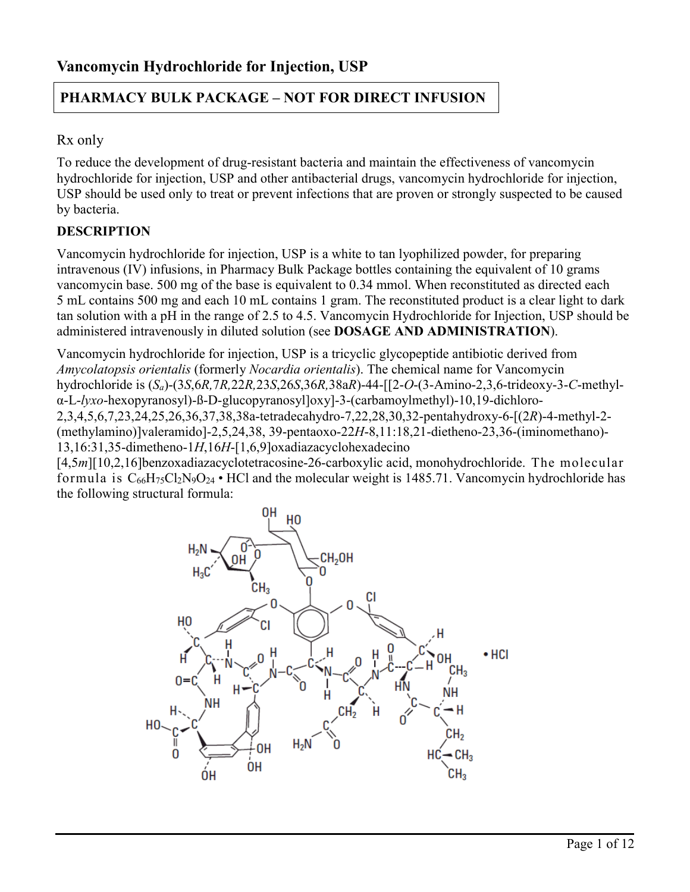# **PHARMACY BULK PACKAGE – NOT FOR DIRECT INFUSION**

# Rx only

To reduce the development of drug-resistant bacteria and maintain the effectiveness of vancomycin hydrochloride for injection, USP and other antibacterial drugs, vancomycin hydrochloride for injection, USP should be used only to treat or prevent infections that are proven or strongly suspected to be caused by bacteria.

# **DESCRIPTION**

Vancomycin hydrochloride for injection, USP is a white to tan lyophilized powder, for preparing intravenous (IV) infusions, in Pharmacy Bulk Package bottles containing the equivalent of 10 grams vancomycin base. 500 mg of the base is equivalent to 0.34 mmol. When reconstituted as directed each 5 mL contains 500 mg and each 10 mL contains 1 gram. The reconstituted product is a clear light to dark tan solution with a pH in the range of 2.5 to 4.5. Vancomycin Hydrochloride for Injection, USP should be administered intravenously in diluted solution (see **DOSAGE AND ADMINISTRATION**).

Vancomycin hydrochloride for injection, USP is a tricyclic glycopeptide antibiotic derived from *Amycolatopsis orientalis* (formerly *Nocardia orientalis*). The chemical name for Vancomycin hydrochloride is (*Sa*)-(3*S*,6*R,*7*R,*22*R,*23*S*,26*S*,36*R,*38a*R*)-44-[[2-*O*-(3-Amino-2,3,6-trideoxy-3-*C*-methylα-L-*lyxo*-hexopyranosyl)-ß-D-glucopyranosyl]oxy]-3-(carbamoylmethyl)-10,19-dichloro-2,3,4,5,6,7,23,24,25,26,36,37,38,38a-tetradecahydro-7,22,28,30,32-pentahydroxy-6-[(2*R*)-4-methyl-2- (methylamino)]valeramido]-2,5,24,38, 39-pentaoxo-22*H*-8,11:18,21-dietheno-23,36-(iminomethano)- 13,16:31,35-dimetheno-1*H*,16*H*-[1,6,9]oxadiazacyclohexadecino

[4,5*m*][10,2,16]benzoxadiazacyclotetracosine-26-carboxylic acid, monohydrochloride. The molecular formula is  $C_{66}H_{75}Cl_2N_9O_{24}$  • HCl and the molecular weight is 1485.71. Vancomycin hydrochloride has the following structural formula:

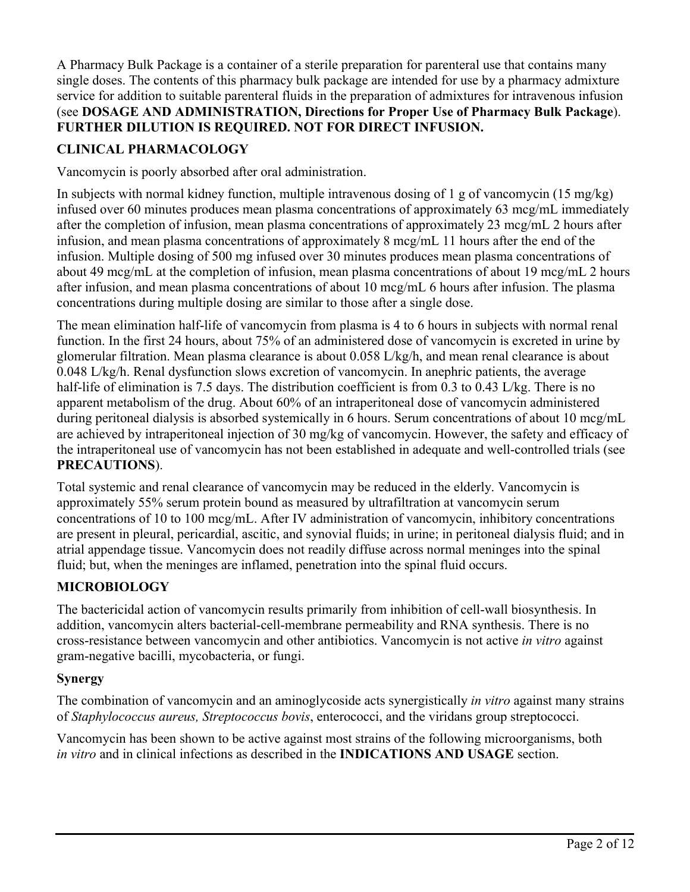A Pharmacy Bulk Package is a container of a sterile preparation for parenteral use that contains many single doses. The contents of this pharmacy bulk package are intended for use by a pharmacy admixture service for addition to suitable parenteral fluids in the preparation of admixtures for intravenous infusion (see **DOSAGE AND ADMINISTRATION, Directions for Proper Use of Pharmacy Bulk Package**). **FURTHER DILUTION IS REQUIRED. NOT FOR DIRECT INFUSION.**

# **CLINICAL PHARMACOLOGY**

Vancomycin is poorly absorbed after oral administration.

In subjects with normal kidney function, multiple intravenous dosing of 1 g of vancomycin (15 mg/kg) infused over 60 minutes produces mean plasma concentrations of approximately 63 mcg/mL immediately after the completion of infusion, mean plasma concentrations of approximately 23 mcg/mL 2 hours after infusion, and mean plasma concentrations of approximately 8 mcg/mL 11 hours after the end of the infusion. Multiple dosing of 500 mg infused over 30 minutes produces mean plasma concentrations of about 49 mcg/mL at the completion of infusion, mean plasma concentrations of about 19 mcg/mL 2 hours after infusion, and mean plasma concentrations of about 10 mcg/mL 6 hours after infusion. The plasma concentrations during multiple dosing are similar to those after a single dose.

The mean elimination half-life of vancomycin from plasma is 4 to 6 hours in subjects with normal renal function. In the first 24 hours, about 75% of an administered dose of vancomycin is excreted in urine by glomerular filtration. Mean plasma clearance is about 0.058 L/kg/h, and mean renal clearance is about 0.048 L/kg/h. Renal dysfunction slows excretion of vancomycin. In anephric patients, the average half-life of elimination is 7.5 days. The distribution coefficient is from 0.3 to 0.43 L/kg. There is no apparent metabolism of the drug. About 60% of an intraperitoneal dose of vancomycin administered during peritoneal dialysis is absorbed systemically in 6 hours. Serum concentrations of about 10 mcg/mL are achieved by intraperitoneal injection of 30 mg/kg of vancomycin. However, the safety and efficacy of the intraperitoneal use of vancomycin has not been established in adequate and well-controlled trials (see **PRECAUTIONS**).

Total systemic and renal clearance of vancomycin may be reduced in the elderly. Vancomycin is approximately 55% serum protein bound as measured by ultrafiltration at vancomycin serum concentrations of 10 to 100 mcg/mL. After IV administration of vancomycin, inhibitory concentrations are present in pleural, pericardial, ascitic, and synovial fluids; in urine; in peritoneal dialysis fluid; and in atrial appendage tissue. Vancomycin does not readily diffuse across normal meninges into the spinal fluid; but, when the meninges are inflamed, penetration into the spinal fluid occurs.

# **MICROBIOLOGY**

The bactericidal action of vancomycin results primarily from inhibition of cell-wall biosynthesis. In addition, vancomycin alters bacterial-cell-membrane permeability and RNA synthesis. There is no cross-resistance between vancomycin and other antibiotics. Vancomycin is not active *in vitro* against gram-negative bacilli, mycobacteria, or fungi.

# **Synergy**

The combination of vancomycin and an aminoglycoside acts synergistically *in vitro* against many strains of *Staphylococcus aureus, Streptococcus bovis*, enterococci, and the viridans group streptococci.

Vancomycin has been shown to be active against most strains of the following microorganisms, both *in vitro* and in clinical infections as described in the **INDICATIONS AND USAGE** section.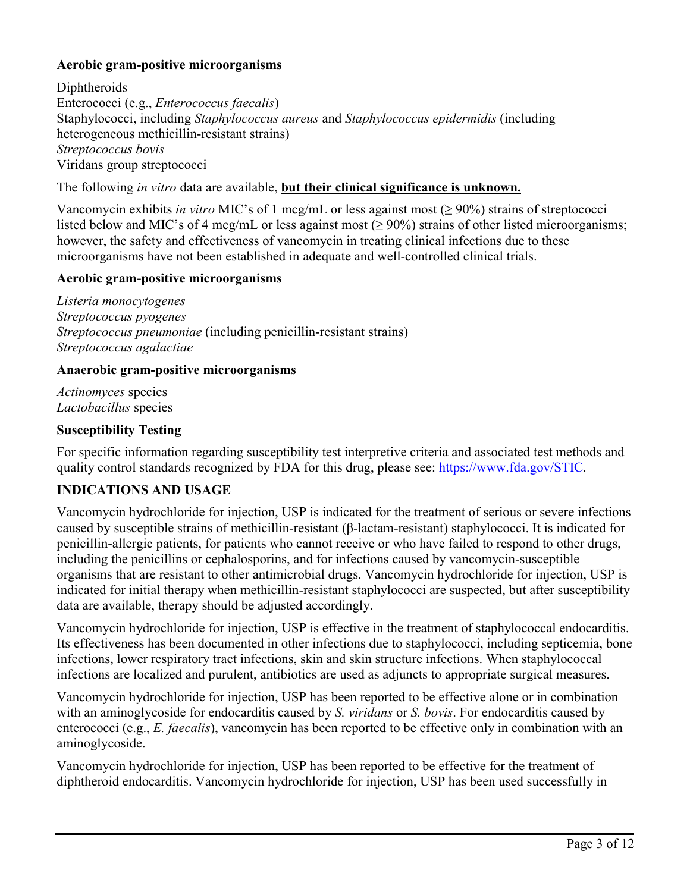## **Aerobic gram-positive microorganisms**

Diphtheroids Enterococci (e.g., *Enterococcus faecalis*) Staphylococci, including *Staphylococcus aureus* and *Staphylococcus epidermidis* (including heterogeneous methicillin-resistant strains) *Streptococcus bovis* Viridans group streptococci

The following *in vitro* data are available, **but their clinical significance is unknown.**

Vancomycin exhibits *in vitro* MIC's of 1 mcg/mL or less against most (≥ 90%) strains of streptococci listed below and MIC's of 4 mcg/mL or less against most ( $\geq 90\%$ ) strains of other listed microorganisms; however, the safety and effectiveness of vancomycin in treating clinical infections due to these microorganisms have not been established in adequate and well-controlled clinical trials.

## **Aerobic gram-positive microorganisms**

*Listeria monocytogenes Streptococcus pyogenes Streptococcus pneumoniae* (including penicillin-resistant strains) *Streptococcus agalactiae*

### **Anaerobic gram-positive microorganisms**

*Actinomyces* species *Lactobacillus* species

## **Susceptibility Testing**

For specific information regarding susceptibility test interpretive criteria and associated test methods and quality control standards recognized by FDA for this drug, please see: [https://www.fda.gov/STIC.](https://www.fda.gov/STIC)

# **INDICATIONS AND USAGE**

Vancomycin hydrochloride for injection, USP is indicated for the treatment of serious or severe infections caused by susceptible strains of methicillin-resistant (β-lactam-resistant) staphylococci. It is indicated for penicillin-allergic patients, for patients who cannot receive or who have failed to respond to other drugs, including the penicillins or cephalosporins, and for infections caused by vancomycin-susceptible organisms that are resistant to other antimicrobial drugs. Vancomycin hydrochloride for injection, USP is indicated for initial therapy when methicillin-resistant staphylococci are suspected, but after susceptibility data are available, therapy should be adjusted accordingly.

Vancomycin hydrochloride for injection, USP is effective in the treatment of staphylococcal endocarditis. Its effectiveness has been documented in other infections due to staphylococci, including septicemia, bone infections, lower respiratory tract infections, skin and skin structure infections. When staphylococcal infections are localized and purulent, antibiotics are used as adjuncts to appropriate surgical measures.

Vancomycin hydrochloride for injection, USP has been reported to be effective alone or in combination with an aminoglycoside for endocarditis caused by *S. viridans* or *S. bovis*. For endocarditis caused by enterococci (e.g., *E. faecalis*), vancomycin has been reported to be effective only in combination with an aminoglycoside.

Vancomycin hydrochloride for injection, USP has been reported to be effective for the treatment of diphtheroid endocarditis. Vancomycin hydrochloride for injection, USP has been used successfully in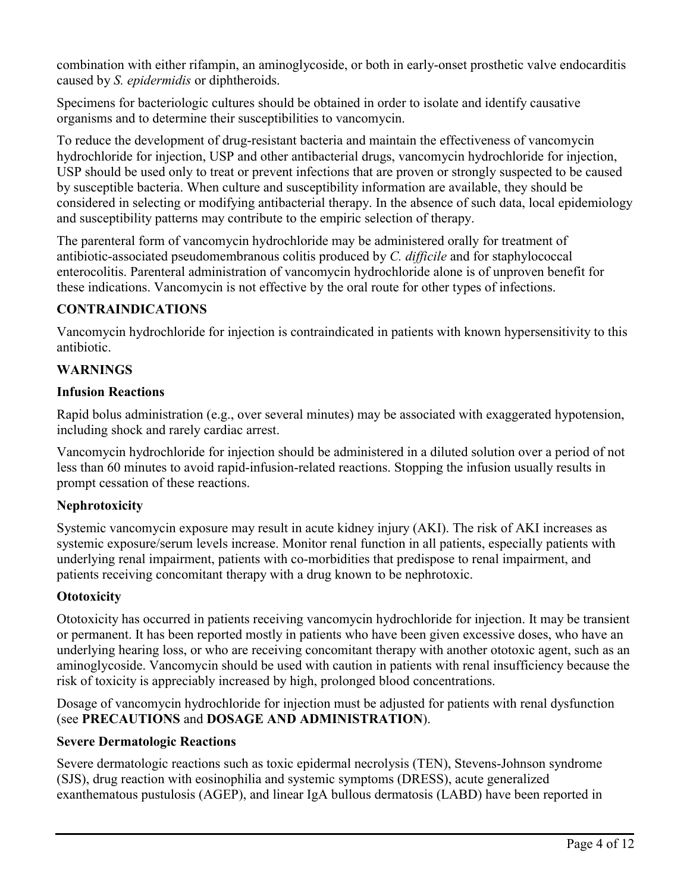combination with either rifampin, an aminoglycoside, or both in early-onset prosthetic valve endocarditis caused by *S. epidermidis* or diphtheroids.

Specimens for bacteriologic cultures should be obtained in order to isolate and identify causative organisms and to determine their susceptibilities to vancomycin.

To reduce the development of drug-resistant bacteria and maintain the effectiveness of vancomycin hydrochloride for injection, USP and other antibacterial drugs, vancomycin hydrochloride for injection, USP should be used only to treat or prevent infections that are proven or strongly suspected to be caused by susceptible bacteria. When culture and susceptibility information are available, they should be considered in selecting or modifying antibacterial therapy. In the absence of such data, local epidemiology and susceptibility patterns may contribute to the empiric selection of therapy.

The parenteral form of vancomycin hydrochloride may be administered orally for treatment of antibiotic-associated pseudomembranous colitis produced by *C. difficile* and for staphylococcal enterocolitis. Parenteral administration of vancomycin hydrochloride alone is of unproven benefit for these indications. Vancomycin is not effective by the oral route for other types of infections.

# **CONTRAINDICATIONS**

Vancomycin hydrochloride for injection is contraindicated in patients with known hypersensitivity to this antibiotic.

# **WARNINGS**

## **Infusion Reactions**

Rapid bolus administration (e.g., over several minutes) may be associated with exaggerated hypotension, including shock and rarely cardiac arrest.

Vancomycin hydrochloride for injection should be administered in a diluted solution over a period of not less than 60 minutes to avoid rapid-infusion-related reactions. Stopping the infusion usually results in prompt cessation of these reactions.

# **Nephrotoxicity**

Systemic vancomycin exposure may result in acute kidney injury (AKI). The risk of AKI increases as systemic exposure/serum levels increase. Monitor renal function in all patients, especially patients with underlying renal impairment, patients with co-morbidities that predispose to renal impairment, and patients receiving concomitant therapy with a drug known to be nephrotoxic.

# **Ototoxicity**

Ototoxicity has occurred in patients receiving vancomycin hydrochloride for injection. It may be transient or permanent. It has been reported mostly in patients who have been given excessive doses, who have an underlying hearing loss, or who are receiving concomitant therapy with another ototoxic agent, such as an aminoglycoside. Vancomycin should be used with caution in patients with renal insufficiency because the risk of toxicity is appreciably increased by high, prolonged blood concentrations.

Dosage of vancomycin hydrochloride for injection must be adjusted for patients with renal dysfunction (see **PRECAUTIONS** and **DOSAGE AND ADMINISTRATION**).

# **Severe Dermatologic Reactions**

Severe dermatologic reactions such as toxic epidermal necrolysis (TEN), Stevens-Johnson syndrome (SJS), drug reaction with eosinophilia and systemic symptoms (DRESS), acute generalized exanthematous pustulosis (AGEP), and linear IgA bullous dermatosis (LABD) have been reported in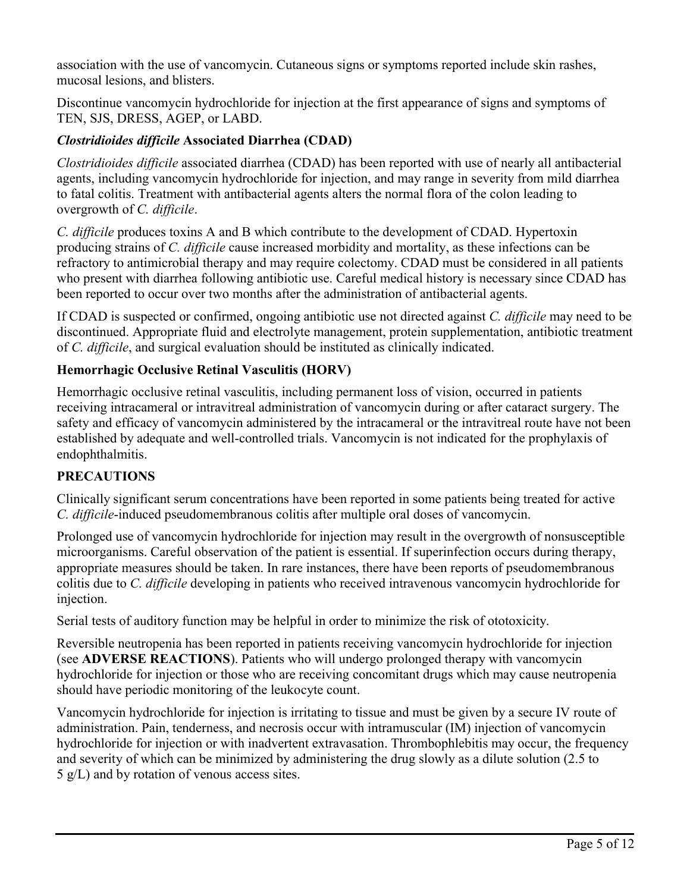association with the use of vancomycin. Cutaneous signs or symptoms reported include skin rashes, mucosal lesions, and blisters.

Discontinue vancomycin hydrochloride for injection at the first appearance of signs and symptoms of TEN, SJS, DRESS, AGEP, or LABD.

# *Clostridioides difficile* **Associated Diarrhea (CDAD)**

*Clostridioides difficile* associated diarrhea (CDAD) has been reported with use of nearly all antibacterial agents, including vancomycin hydrochloride for injection, and may range in severity from mild diarrhea to fatal colitis. Treatment with antibacterial agents alters the normal flora of the colon leading to overgrowth of *C. difficile*.

*C. difficile* produces toxins A and B which contribute to the development of CDAD. Hypertoxin producing strains of *C. difficile* cause increased morbidity and mortality, as these infections can be refractory to antimicrobial therapy and may require colectomy. CDAD must be considered in all patients who present with diarrhea following antibiotic use. Careful medical history is necessary since CDAD has been reported to occur over two months after the administration of antibacterial agents.

If CDAD is suspected or confirmed, ongoing antibiotic use not directed against *C. difficile* may need to be discontinued. Appropriate fluid and electrolyte management, protein supplementation, antibiotic treatment of *C. difficile*, and surgical evaluation should be instituted as clinically indicated.

# **Hemorrhagic Occlusive Retinal Vasculitis (HORV)**

Hemorrhagic occlusive retinal vasculitis, including permanent loss of vision, occurred in patients receiving intracameral or intravitreal administration of vancomycin during or after cataract surgery. The safety and efficacy of vancomycin administered by the intracameral or the intravitreal route have not been established by adequate and well-controlled trials. Vancomycin is not indicated for the prophylaxis of endophthalmitis.

# **PRECAUTIONS**

Clinically significant serum concentrations have been reported in some patients being treated for active *C. difficile*-induced pseudomembranous colitis after multiple oral doses of vancomycin.

Prolonged use of vancomycin hydrochloride for injection may result in the overgrowth of nonsusceptible microorganisms. Careful observation of the patient is essential. If superinfection occurs during therapy, appropriate measures should be taken. In rare instances, there have been reports of pseudomembranous colitis due to *C. difficile* developing in patients who received intravenous vancomycin hydrochloride for injection.

Serial tests of auditory function may be helpful in order to minimize the risk of ototoxicity.

Reversible neutropenia has been reported in patients receiving vancomycin hydrochloride for injection (see **ADVERSE REACTIONS**). Patients who will undergo prolonged therapy with vancomycin hydrochloride for injection or those who are receiving concomitant drugs which may cause neutropenia should have periodic monitoring of the leukocyte count.

Vancomycin hydrochloride for injection is irritating to tissue and must be given by a secure IV route of administration. Pain, tenderness, and necrosis occur with intramuscular (IM) injection of vancomycin hydrochloride for injection or with inadvertent extravasation. Thrombophlebitis may occur, the frequency and severity of which can be minimized by administering the drug slowly as a dilute solution (2.5 to 5 g/L) and by rotation of venous access sites.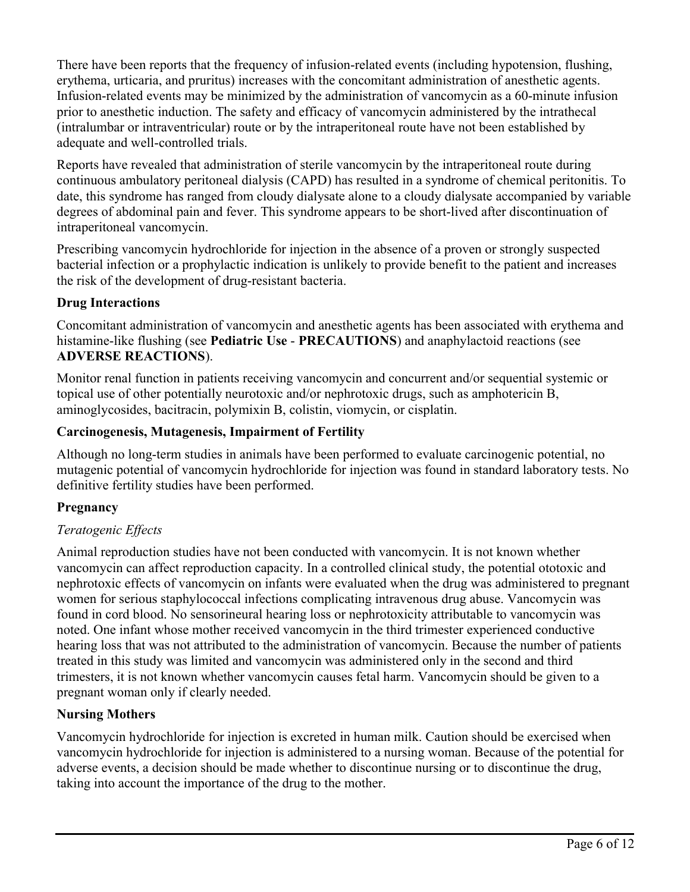There have been reports that the frequency of infusion-related events (including hypotension, flushing, erythema, urticaria, and pruritus) increases with the concomitant administration of anesthetic agents. Infusion-related events may be minimized by the administration of vancomycin as a 60-minute infusion prior to anesthetic induction. The safety and efficacy of vancomycin administered by the intrathecal (intralumbar or intraventricular) route or by the intraperitoneal route have not been established by adequate and well-controlled trials.

Reports have revealed that administration of sterile vancomycin by the intraperitoneal route during continuous ambulatory peritoneal dialysis (CAPD) has resulted in a syndrome of chemical peritonitis. To date, this syndrome has ranged from cloudy dialysate alone to a cloudy dialysate accompanied by variable degrees of abdominal pain and fever. This syndrome appears to be short-lived after discontinuation of intraperitoneal vancomycin.

Prescribing vancomycin hydrochloride for injection in the absence of a proven or strongly suspected bacterial infection or a prophylactic indication is unlikely to provide benefit to the patient and increases the risk of the development of drug-resistant bacteria.

# **Drug Interactions**

Concomitant administration of vancomycin and anesthetic agents has been associated with erythema and histamine-like flushing (see **Pediatric Use** - **PRECAUTIONS**) and anaphylactoid reactions (see **ADVERSE REACTIONS**).

Monitor renal function in patients receiving vancomycin and concurrent and/or sequential systemic or topical use of other potentially neurotoxic and/or nephrotoxic drugs, such as amphotericin B, aminoglycosides, bacitracin, polymixin B, colistin, viomycin, or cisplatin.

# **Carcinogenesis, Mutagenesis, Impairment of Fertility**

Although no long-term studies in animals have been performed to evaluate carcinogenic potential, no mutagenic potential of vancomycin hydrochloride for injection was found in standard laboratory tests. No definitive fertility studies have been performed.

# **Pregnancy**

# *Teratogenic Effects*

Animal reproduction studies have not been conducted with vancomycin. It is not known whether vancomycin can affect reproduction capacity. In a controlled clinical study, the potential ototoxic and nephrotoxic effects of vancomycin on infants were evaluated when the drug was administered to pregnant women for serious staphylococcal infections complicating intravenous drug abuse. Vancomycin was found in cord blood. No sensorineural hearing loss or nephrotoxicity attributable to vancomycin was noted. One infant whose mother received vancomycin in the third trimester experienced conductive hearing loss that was not attributed to the administration of vancomycin. Because the number of patients treated in this study was limited and vancomycin was administered only in the second and third trimesters, it is not known whether vancomycin causes fetal harm. Vancomycin should be given to a pregnant woman only if clearly needed.

# **Nursing Mothers**

Vancomycin hydrochloride for injection is excreted in human milk. Caution should be exercised when vancomycin hydrochloride for injection is administered to a nursing woman. Because of the potential for adverse events, a decision should be made whether to discontinue nursing or to discontinue the drug, taking into account the importance of the drug to the mother.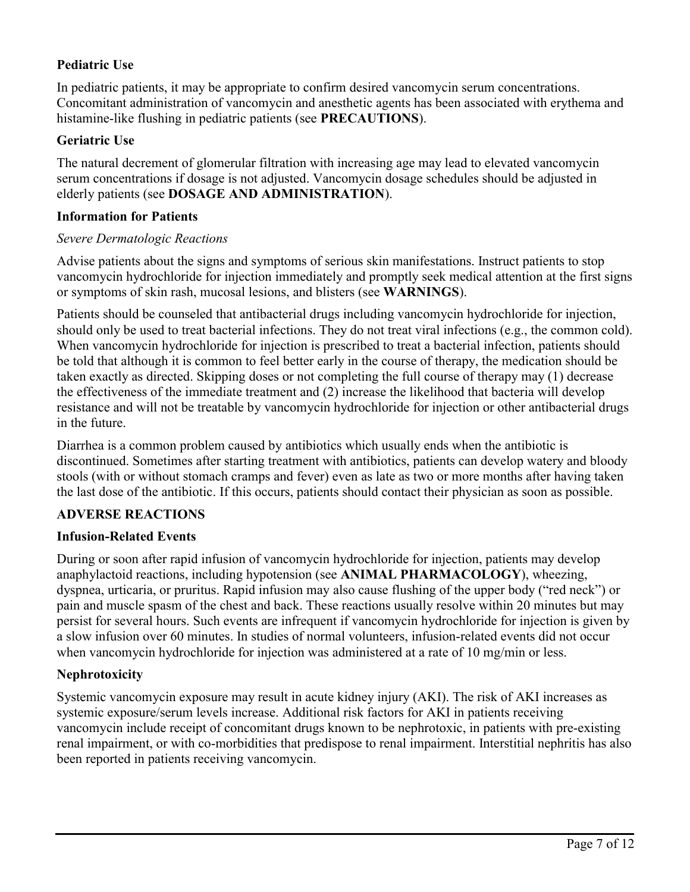# **Pediatric Use**

In pediatric patients, it may be appropriate to confirm desired vancomycin serum concentrations. Concomitant administration of vancomycin and anesthetic agents has been associated with erythema and histamine-like flushing in pediatric patients (see **PRECAUTIONS**).

# **Geriatric Use**

The natural decrement of glomerular filtration with increasing age may lead to elevated vancomycin serum concentrations if dosage is not adjusted. Vancomycin dosage schedules should be adjusted in elderly patients (see **DOSAGE AND ADMINISTRATION**).

#### **Information for Patients**

#### *Severe Dermatologic Reactions*

Advise patients about the signs and symptoms of serious skin manifestations. Instruct patients to stop vancomycin hydrochloride for injection immediately and promptly seek medical attention at the first signs or symptoms of skin rash, mucosal lesions, and blisters (see **WARNINGS**).

Patients should be counseled that antibacterial drugs including vancomycin hydrochloride for injection, should only be used to treat bacterial infections. They do not treat viral infections (e.g., the common cold). When vancomycin hydrochloride for injection is prescribed to treat a bacterial infection, patients should be told that although it is common to feel better early in the course of therapy, the medication should be taken exactly as directed. Skipping doses or not completing the full course of therapy may (1) decrease the effectiveness of the immediate treatment and (2) increase the likelihood that bacteria will develop resistance and will not be treatable by vancomycin hydrochloride for injection or other antibacterial drugs in the future.

Diarrhea is a common problem caused by antibiotics which usually ends when the antibiotic is discontinued. Sometimes after starting treatment with antibiotics, patients can develop watery and bloody stools (with or without stomach cramps and fever) even as late as two or more months after having taken the last dose of the antibiotic. If this occurs, patients should contact their physician as soon as possible.

## **ADVERSE REACTIONS**

### **Infusion-Related Events**

During or soon after rapid infusion of vancomycin hydrochloride for injection, patients may develop anaphylactoid reactions, including hypotension (see **ANIMAL PHARMACOLOGY**), wheezing, dyspnea, urticaria, or pruritus. Rapid infusion may also cause flushing of the upper body ("red neck") or pain and muscle spasm of the chest and back. These reactions usually resolve within 20 minutes but may persist for several hours. Such events are infrequent if vancomycin hydrochloride for injection is given by a slow infusion over 60 minutes. In studies of normal volunteers, infusion-related events did not occur when vancomycin hydrochloride for injection was administered at a rate of 10 mg/min or less.

# **Nephrotoxicity**

Systemic vancomycin exposure may result in acute kidney injury (AKI). The risk of AKI increases as systemic exposure/serum levels increase. Additional risk factors for AKI in patients receiving vancomycin include receipt of concomitant drugs known to be nephrotoxic, in patients with pre-existing renal impairment, or with co-morbidities that predispose to renal impairment. Interstitial nephritis has also been reported in patients receiving vancomycin.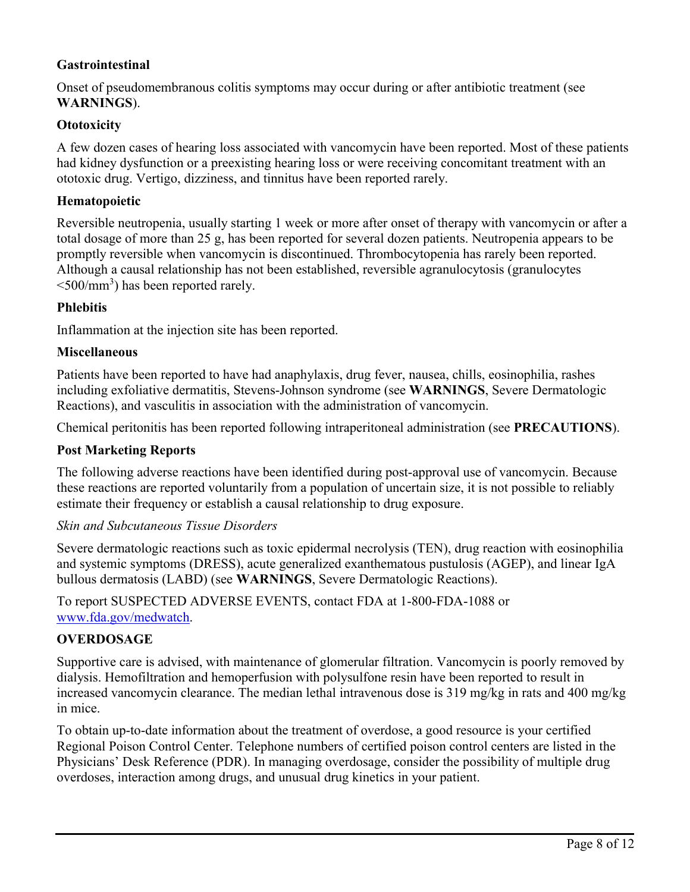## **Gastrointestinal**

Onset of pseudomembranous colitis symptoms may occur during or after antibiotic treatment (see **WARNINGS**).

#### **Ototoxicity**

A few dozen cases of hearing loss associated with vancomycin have been reported. Most of these patients had kidney dysfunction or a preexisting hearing loss or were receiving concomitant treatment with an ototoxic drug. Vertigo, dizziness, and tinnitus have been reported rarely.

#### **Hematopoietic**

Reversible neutropenia, usually starting 1 week or more after onset of therapy with vancomycin or after a total dosage of more than 25 g, has been reported for several dozen patients. Neutropenia appears to be promptly reversible when vancomycin is discontinued. Thrombocytopenia has rarely been reported. Although a causal relationship has not been established, reversible agranulocytosis (granulocytes  $\leq 500$ /mm<sup>3</sup>) has been reported rarely.

#### **Phlebitis**

Inflammation at the injection site has been reported.

#### **Miscellaneous**

Patients have been reported to have had anaphylaxis, drug fever, nausea, chills, eosinophilia, rashes including exfoliative dermatitis, Stevens-Johnson syndrome (see **WARNINGS**, Severe Dermatologic Reactions), and vasculitis in association with the administration of vancomycin.

Chemical peritonitis has been reported following intraperitoneal administration (see **PRECAUTIONS**).

#### **Post Marketing Reports**

The following adverse reactions have been identified during post-approval use of vancomycin. Because these reactions are reported voluntarily from a population of uncertain size, it is not possible to reliably estimate their frequency or establish a causal relationship to drug exposure.

#### *Skin and Subcutaneous Tissue Disorders*

Severe dermatologic reactions such as toxic epidermal necrolysis (TEN), drug reaction with eosinophilia and systemic symptoms (DRESS), acute generalized exanthematous pustulosis (AGEP), and linear IgA bullous dermatosis (LABD) (see **WARNINGS**, Severe Dermatologic Reactions).

To report SUSPECTED ADVERSE EVENTS, contact FDA at 1-800-FDA-1088 or [www.fda.gov/medwatch](http://www.fda.gov/medwatch).

### **OVERDOSAGE**

Supportive care is advised, with maintenance of glomerular filtration. Vancomycin is poorly removed by dialysis. Hemofiltration and hemoperfusion with polysulfone resin have been reported to result in increased vancomycin clearance. The median lethal intravenous dose is 319 mg/kg in rats and 400 mg/kg in mice.

To obtain up-to-date information about the treatment of overdose, a good resource is your certified Regional Poison Control Center. Telephone numbers of certified poison control centers are listed in the Physicians' Desk Reference (PDR). In managing overdosage, consider the possibility of multiple drug overdoses, interaction among drugs, and unusual drug kinetics in your patient.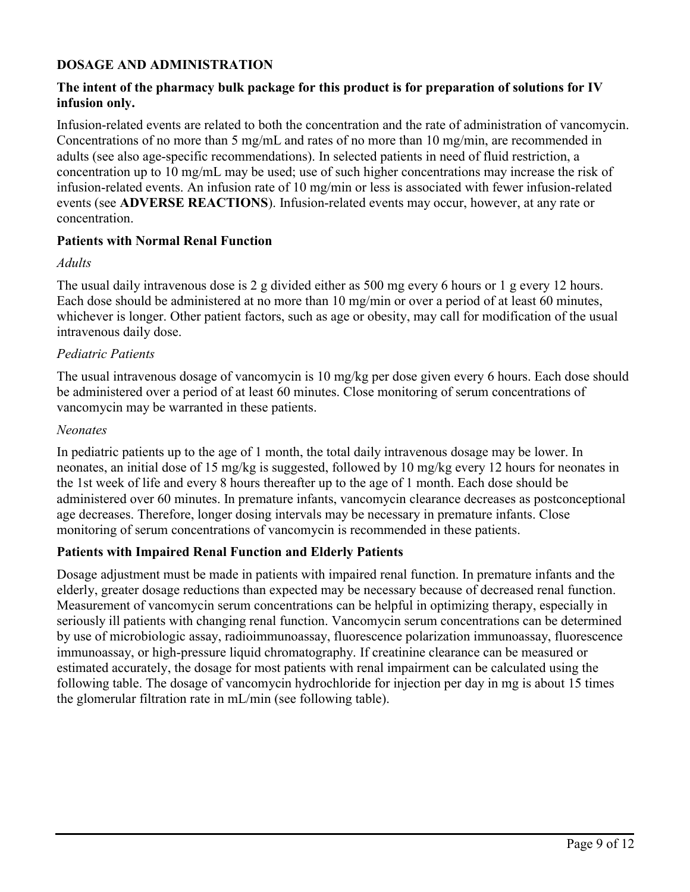## **DOSAGE AND ADMINISTRATION**

## **The intent of the pharmacy bulk package for this product is for preparation of solutions for IV infusion only.**

Infusion-related events are related to both the concentration and the rate of administration of vancomycin. Concentrations of no more than 5 mg/mL and rates of no more than 10 mg/min, are recommended in adults (see also age-specific recommendations). In selected patients in need of fluid restriction, a concentration up to 10 mg/mL may be used; use of such higher concentrations may increase the risk of infusion-related events. An infusion rate of 10 mg/min or less is associated with fewer infusion-related events (see **ADVERSE REACTIONS**). Infusion-related events may occur, however, at any rate or concentration.

#### **Patients with Normal Renal Function**

#### *Adults*

The usual daily intravenous dose is 2 g divided either as 500 mg every 6 hours or 1 g every 12 hours. Each dose should be administered at no more than 10 mg/min or over a period of at least 60 minutes, whichever is longer. Other patient factors, such as age or obesity, may call for modification of the usual intravenous daily dose.

#### *Pediatric Patients*

The usual intravenous dosage of vancomycin is 10 mg/kg per dose given every 6 hours. Each dose should be administered over a period of at least 60 minutes. Close monitoring of serum concentrations of vancomycin may be warranted in these patients.

#### *Neonates*

In pediatric patients up to the age of 1 month, the total daily intravenous dosage may be lower. In neonates, an initial dose of 15 mg/kg is suggested, followed by 10 mg/kg every 12 hours for neonates in the 1st week of life and every 8 hours thereafter up to the age of 1 month. Each dose should be administered over 60 minutes. In premature infants, vancomycin clearance decreases as postconceptional age decreases. Therefore, longer dosing intervals may be necessary in premature infants. Close monitoring of serum concentrations of vancomycin is recommended in these patients.

### **Patients with Impaired Renal Function and Elderly Patients**

Dosage adjustment must be made in patients with impaired renal function. In premature infants and the elderly, greater dosage reductions than expected may be necessary because of decreased renal function. Measurement of vancomycin serum concentrations can be helpful in optimizing therapy, especially in seriously ill patients with changing renal function. Vancomycin serum concentrations can be determined by use of microbiologic assay, radioimmunoassay, fluorescence polarization immunoassay, fluorescence immunoassay, or high-pressure liquid chromatography. If creatinine clearance can be measured or estimated accurately, the dosage for most patients with renal impairment can be calculated using the following table. The dosage of vancomycin hydrochloride for injection per day in mg is about 15 times the glomerular filtration rate in mL/min (see following table).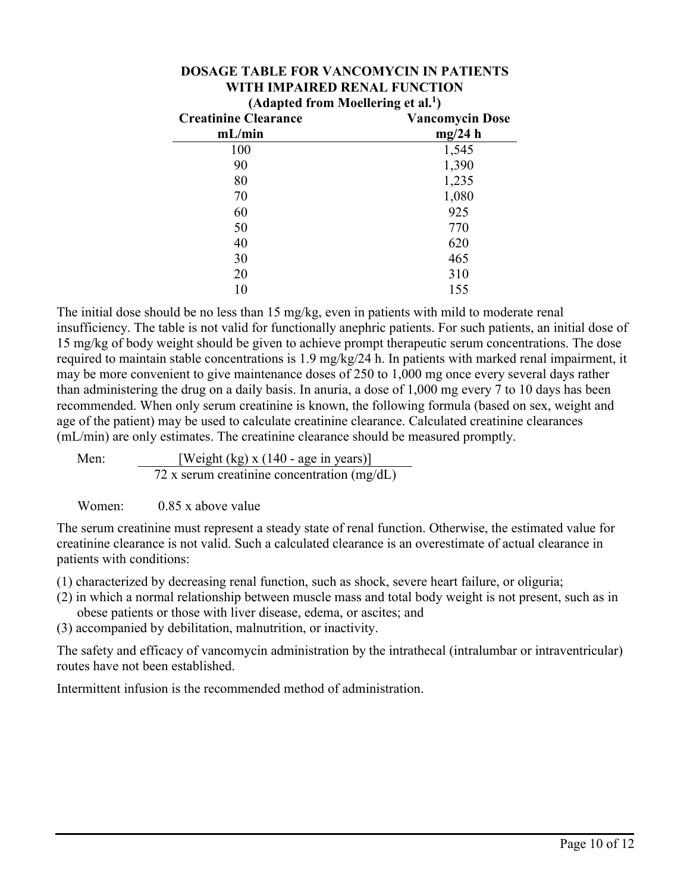| (Adapted from Moellering et al. <sup>1</sup> ) |                        |
|------------------------------------------------|------------------------|
| <b>Creatinine Clearance</b>                    | <b>Vancomycin Dose</b> |
| mL/min                                         | mg/24 h                |
| 100                                            | 1,545                  |
| 90                                             | 1,390                  |
| 80                                             | 1,235                  |
| 70                                             | 1,080                  |
| 60                                             | 925                    |
| 50                                             | 770                    |
| 40                                             | 620                    |
| 30                                             | 465                    |
| 20                                             | 310                    |
|                                                | 155                    |

# **DOSAGE TABLE FOR VANCOMYCIN IN PATIENTS WITH IMPAIRED RENAL FUNCTION**

The initial dose should be no less than 15 mg/kg, even in patients with mild to moderate renal insufficiency. The table is not valid for functionally anephric patients. For such patients, an initial dose of 15 mg/kg of body weight should be given to achieve prompt therapeutic serum concentrations. The dose required to maintain stable concentrations is 1.9 mg/kg/24 h. In patients with marked renal impairment, it may be more convenient to give maintenance doses of 250 to 1,000 mg once every several days rather than administering the drug on a daily basis. In anuria, a dose of 1,000 mg every 7 to 10 days has been recommended. When only serum creatinine is known, the following formula (based on sex, weight and age of the patient) may be used to calculate creatinine clearance. Calculated creatinine clearances (mL/min) are only estimates. The creatinine clearance should be measured promptly.

Men: [Weight (kg) x (140 - age in years)]  $72$  x serum creatinine concentration  $(mg/dL)$ 

Women: 0.85 x above value

The serum creatinine must represent a steady state of renal function. Otherwise, the estimated value for creatinine clearance is not valid. Such a calculated clearance is an overestimate of actual clearance in patients with conditions:

- (1) characterized by decreasing renal function, such as shock, severe heart failure, or oliguria;
- (2) in which a normal relationship between muscle mass and total body weight is not present, such as in obese patients or those with liver disease, edema, or ascites; and
- (3) accompanied by debilitation, malnutrition, or inactivity.

The safety and efficacy of vancomycin administration by the intrathecal (intralumbar or intraventricular) routes have not been established.

Intermittent infusion is the recommended method of administration.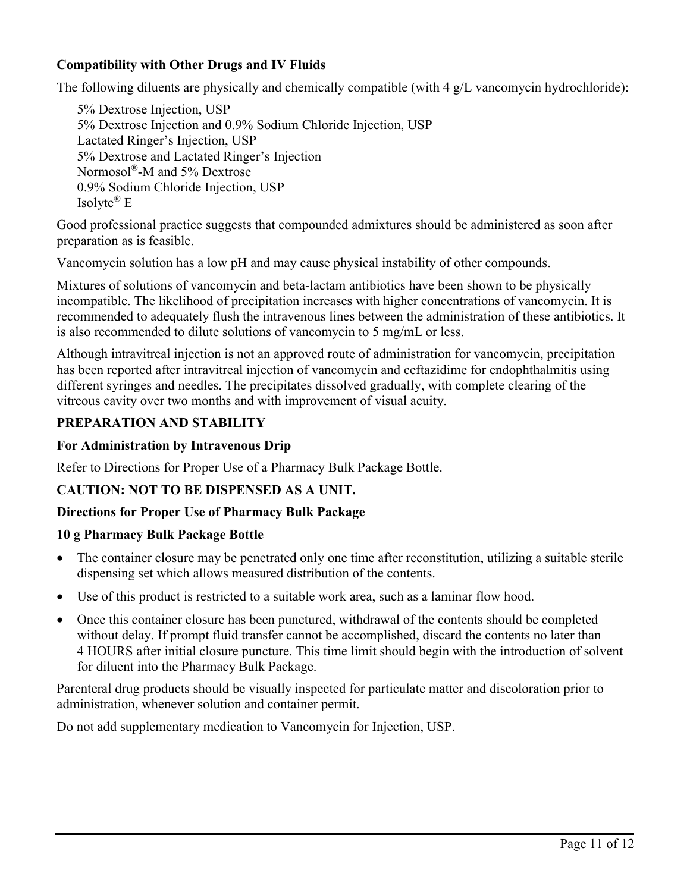# **Compatibility with Other Drugs and IV Fluids**

The following diluents are physically and chemically compatible (with 4 g/L vancomycin hydrochloride):

5% Dextrose Injection, USP 5% Dextrose Injection and 0.9% Sodium Chloride Injection, USP Lactated Ringer's Injection, USP 5% Dextrose and Lactated Ringer's Injection Normosol®-M and 5% Dextrose 0.9% Sodium Chloride Injection, USP Isolyte ® E

Good professional practice suggests that compounded admixtures should be administered as soon after preparation as is feasible.

Vancomycin solution has a low pH and may cause physical instability of other compounds.

Mixtures of solutions of vancomycin and beta-lactam antibiotics have been shown to be physically incompatible. The likelihood of precipitation increases with higher concentrations of vancomycin. It is recommended to adequately flush the intravenous lines between the administration of these antibiotics. It is also recommended to dilute solutions of vancomycin to 5 mg/mL or less.

Although intravitreal injection is not an approved route of administration for vancomycin, precipitation has been reported after intravitreal injection of vancomycin and ceftazidime for endophthalmitis using different syringes and needles. The precipitates dissolved gradually, with complete clearing of the vitreous cavity over two months and with improvement of visual acuity.

### **PREPARATION AND STABILITY**

#### **For Administration by Intravenous Drip**

Refer to Directions for Proper Use of a Pharmacy Bulk Package Bottle.

### **CAUTION: NOT TO BE DISPENSED AS A UNIT.**

### **Directions for Proper Use of Pharmacy Bulk Package**

#### **10 g Pharmacy Bulk Package Bottle**

- The container closure may be penetrated only one time after reconstitution, utilizing a suitable sterile dispensing set which allows measured distribution of the contents.
- Use of this product is restricted to a suitable work area, such as a laminar flow hood.
- Once this container closure has been punctured, withdrawal of the contents should be completed without delay. If prompt fluid transfer cannot be accomplished, discard the contents no later than 4 HOURS after initial closure puncture. This time limit should begin with the introduction of solvent for diluent into the Pharmacy Bulk Package.

Parenteral drug products should be visually inspected for particulate matter and discoloration prior to administration, whenever solution and container permit.

Do not add supplementary medication to Vancomycin for Injection, USP.